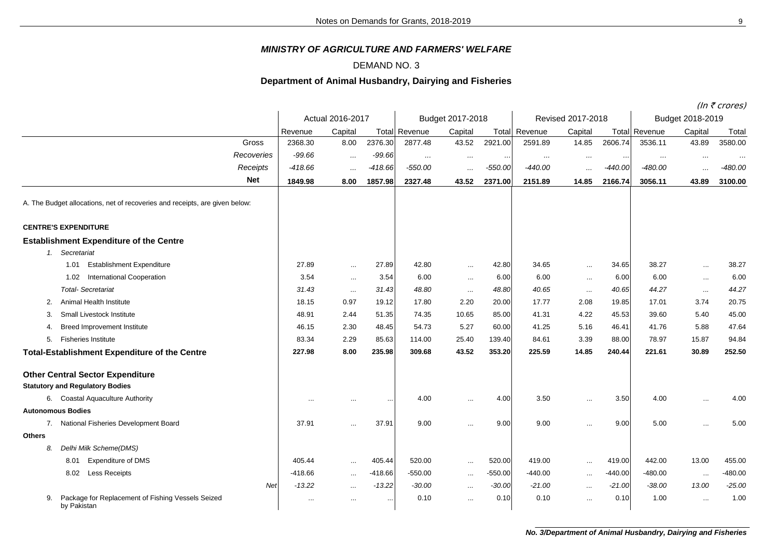## *MINISTRY OF AGRICULTURE AND FARMERS' WELFARE*

## DEMAND NO. 3

## **Department of Animal Husbandry, Dairying and Fisheries**

(In  $\bar{\tau}$  crores)

|                                                                             |                  |           |           |                      |           |           |                   |               |           | $(III \setminus CIUIES)$ |           |           |  |
|-----------------------------------------------------------------------------|------------------|-----------|-----------|----------------------|-----------|-----------|-------------------|---------------|-----------|--------------------------|-----------|-----------|--|
|                                                                             | Actual 2016-2017 |           |           | Budget 2017-2018     |           |           | Revised 2017-2018 |               |           | Budget 2018-2019         |           |           |  |
|                                                                             | Revenue          | Capital   |           | <b>Total Revenue</b> | Capital   | Total     | Revenue           | Capital       |           | <b>Total Revenue</b>     | Capital   | Total     |  |
| Gross                                                                       | 2368.30          | 8.00      | 2376.30   | 2877.48              | 43.52     | 2921.00   | 2591.89           | 14.85         | 2606.74   | 3536.11                  | 43.89     | 3580.00   |  |
| Recoveries                                                                  | $-99.66$         | $\cdots$  | $-99.66$  | $\cdots$             | $\cdots$  | $\cdots$  | $\cdots$          | $\ldots$      | $\cdot$ . | $\ldots$                 | $\ldots$  | $\cdot$ . |  |
| Receipts                                                                    | $-418.66$        | $\cdots$  | $-418.66$ | $-550.00$            | $\cdots$  | $-550.00$ | $-440.00$         | $\cdots$      | $-440.00$ | $-480.00$                | $\cdots$  | $-480.00$ |  |
| <b>Net</b>                                                                  | 1849.98          | 8.00      | 1857.98   | 2327.48              | 43.52     | 2371.00   | 2151.89           | 14.85         | 2166.74   | 3056.11                  | 43.89     | 3100.00   |  |
| A. The Budget allocations, net of recoveries and receipts, are given below: |                  |           |           |                      |           |           |                   |               |           |                          |           |           |  |
| <b>CENTRE'S EXPENDITURE</b>                                                 |                  |           |           |                      |           |           |                   |               |           |                          |           |           |  |
| <b>Establishment Expenditure of the Centre</b>                              |                  |           |           |                      |           |           |                   |               |           |                          |           |           |  |
| 1. Secretariat                                                              |                  |           |           |                      |           |           |                   |               |           |                          |           |           |  |
| <b>Establishment Expenditure</b><br>1.01                                    | 27.89            | $\cdots$  | 27.89     | 42.80                | $\sim$    | 42.80     | 34.65             | $\sim$        | 34.65     | 38.27                    | $\sim$    | 38.27     |  |
| <b>International Cooperation</b><br>1.02                                    | 3.54             | $\ddotsc$ | 3.54      | 6.00                 | $\ldots$  | 6.00      | 6.00              | $\cdots$      | 6.00      | 6.00                     | $\cdots$  | 6.00      |  |
| <b>Total-Secretariat</b>                                                    | 31.43            | $\cdots$  | 31.43     | 48.80                | $\ldots$  | 48.80     | 40.65             | $\cdots$      | 40.65     | 44.27                    | $\cdots$  | 44.27     |  |
| Animal Health Institute<br>2.                                               | 18.15            | 0.97      | 19.12     | 17.80                | 2.20      | 20.00     | 17.77             | 2.08          | 19.85     | 17.01                    | 3.74      | 20.75     |  |
| Small Livestock Institute<br>3.                                             | 48.91            | 2.44      | 51.35     | 74.35                | 10.65     | 85.00     | 41.31             | 4.22          | 45.53     | 39.60                    | 5.40      | 45.00     |  |
| <b>Breed Improvement Institute</b><br>4.                                    | 46.15            | 2.30      | 48.45     | 54.73                | 5.27      | 60.00     | 41.25             | 5.16          | 46.41     | 41.76                    | 5.88      | 47.64     |  |
| 5.<br><b>Fisheries Institute</b>                                            | 83.34            | 2.29      | 85.63     | 114.00               | 25.40     | 139.40    | 84.61             | 3.39          | 88.00     | 78.97                    | 15.87     | 94.84     |  |
| <b>Total-Establishment Expenditure of the Centre</b>                        | 227.98           | 8.00      | 235.98    | 309.68               | 43.52     | 353.20    | 225.59            | 14.85         | 240.44    | 221.61                   | 30.89     | 252.50    |  |
| <b>Other Central Sector Expenditure</b>                                     |                  |           |           |                      |           |           |                   |               |           |                          |           |           |  |
| <b>Statutory and Regulatory Bodies</b>                                      |                  |           |           |                      |           |           |                   |               |           |                          |           |           |  |
| 6. Coastal Aquaculture Authority                                            |                  | $\cdots$  |           | 4.00                 | $\ddotsc$ | 4.00      | 3.50              | $\cdots$      | 3.50      | 4.00                     | $\ddotsc$ | 4.00      |  |
| <b>Autonomous Bodies</b>                                                    |                  |           |           |                      |           |           |                   |               |           |                          |           |           |  |
| 7. National Fisheries Development Board                                     | 37.91            | $\cdots$  | 37.91     | 9.00                 |           | 9.00      | 9.00              | $\sim$ $\sim$ | 9.00      | 5.00                     | $\ddotsc$ | 5.00      |  |
| <b>Others</b>                                                               |                  |           |           |                      |           |           |                   |               |           |                          |           |           |  |
| Delhi Milk Scheme(DMS)<br>8.                                                |                  |           |           |                      |           |           |                   |               |           |                          |           |           |  |
| <b>Expenditure of DMS</b><br>8.01                                           | 405.44           | $\cdots$  | 405.44    | 520.00               | $\cdots$  | 520.00    | 419.00            | $\cdots$      | 419.00    | 442.00                   | 13.00     | 455.00    |  |
| Less Receipts<br>8.02                                                       | -418.66          | $\cdots$  | $-418.66$ | -550.00              | $\ldots$  | $-550.00$ | $-440.00$         | $\cdots$      | $-440.00$ | $-480.00$                | $\sim$    | $-480.00$ |  |
| Net                                                                         | $-13.22$         | $\ldots$  | $-13.22$  | $-30.00$             | $\cdots$  | $-30.00$  | $-21.00$          | $\cdots$      | $-21.00$  | $-38.00$                 | 13.00     | $-25.00$  |  |
| Package for Replacement of Fishing Vessels Seized<br>9.<br>by Pakistan      | $\cdots$         | $\cdots$  | $\cdots$  | 0.10                 | $\cdots$  | 0.10      | 0.10              | $\sim$        | 0.10      | 1.00                     | $\cdots$  | 1.00      |  |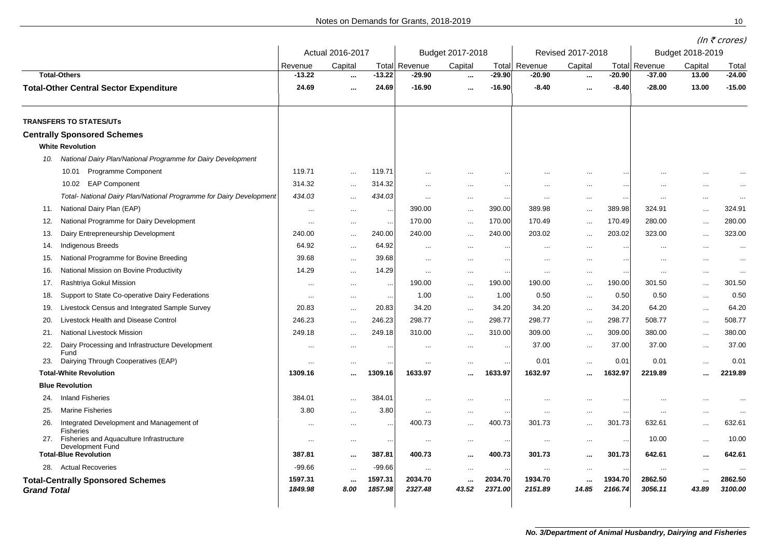Notes on Demands for Grants, 2018-2019 10

|                    |                                                                     |                    |                  |                    |                      |                   |                    |                    |                    |                    |                      |                   | (In $\bar{\tau}$ crores) |
|--------------------|---------------------------------------------------------------------|--------------------|------------------|--------------------|----------------------|-------------------|--------------------|--------------------|--------------------|--------------------|----------------------|-------------------|--------------------------|
|                    |                                                                     | Actual 2016-2017   |                  |                    | Budget 2017-2018     |                   |                    | Revised 2017-2018  |                    |                    | Budget 2018-2019     |                   |                          |
|                    |                                                                     | Revenue            | Capital          |                    | <b>Total Revenue</b> | Capital           | Total              | Revenue            | Capital            |                    | <b>Total Revenue</b> | Capital           | Total                    |
|                    | <b>Total-Others</b>                                                 | $-13.22$           | $\ddotsc$        | $-13.22$           | $-29.90$             | $\sim$            | $-29.90$           | $-20.90$           | $\cdots$           | $-20.90$           | $-37.00$             | 13.00             | $-24.00$                 |
|                    | <b>Total-Other Central Sector Expenditure</b>                       | 24.69              | $\cdots$         | 24.69              | $-16.90$             | $\sim$ $\sim$     | -16.90             | $-8.40$            | $\cdots$           | $-8.40$            | $-28.00$             | 13.00             | $-15.00$                 |
|                    | <b>TRANSFERS TO STATES/UTs</b>                                      |                    |                  |                    |                      |                   |                    |                    |                    |                    |                      |                   |                          |
|                    | <b>Centrally Sponsored Schemes</b><br><b>White Revolution</b>       |                    |                  |                    |                      |                   |                    |                    |                    |                    |                      |                   |                          |
| 10.                | National Dairy Plan/National Programme for Dairy Development        |                    |                  |                    |                      |                   |                    |                    |                    |                    |                      |                   |                          |
|                    | Programme Component<br>10.01                                        | 119.71             | $\cdots$         | 119.71             |                      | $\ddotsc$         |                    |                    | $\ddotsc$          | $\cdot$ .          |                      |                   |                          |
|                    | EAP Component<br>10.02                                              | 314.32             | $\ddotsc$        | 314.32             | $\ddotsc$            | $\cdots$          | $\ddotsc$          | $\ddotsc$          | $\cdots$           | $\cdots$           |                      | $\cdots$          | $\ddotsc$                |
|                    | Total- National Dairy Plan/National Programme for Dairy Development | 434.03             | $\cdots$         | 434.03             | $\cdot \cdot$        | $\cdots$          | $\ddotsc$          |                    | $\cdots$           | $\cdot$ .          |                      | $\cdots$          | $\ddotsc$                |
| 11.                | National Dairy Plan (EAP)                                           | $\ddotsc$          | $\sim$ $\sim$    | $\ddotsc$          | 390.00               | $\sim$ $\sim$     | 390.00             | 389.98             | $\cdots$           | 389.98             | 324.91               | $\cdots$          | 324.91                   |
| 12.                | National Programme for Dairy Development                            | $\cdots$           | $\cdots$         | $\ddotsc$          | 170.00               | $\cdots$          | 170.00             | 170.49             | $\ddotsc$          | 170.49             | 280.00               | $\ddotsc$         | 280.00                   |
| 13.                | Dairy Entrepreneurship Development                                  | 240.00             | $\ddotsc$        | 240.00             | 240.00               | $\cdots$          | 240.00             | 203.02             | $\ddotsc$          | 203.02             | 323.00               | $\ddotsc$         | 323.00                   |
| 14.                | Indigenous Breeds                                                   | 64.92              | $\ddotsc$        | 64.92              |                      | $\cdots$          | $\ddotsc$          |                    | $\cdots$           | $\sim$             |                      | $\ddotsc$         | $\ddotsc$                |
| 15.                | National Programme for Bovine Breeding                              | 39.68              | $\sim$ $\sim$    | 39.68              |                      | $\cdots$          | $\ddotsc$          | $\ddotsc$          | $\cdots$           | $\sim$             |                      | $\ddotsc$         | $\ddotsc$                |
| 16.                | National Mission on Bovine Productivity                             | 14.29              | $\sim$ $\sim$    | 14.29              |                      | $\ldots$          | $\ddotsc$          | $\cdots$           | $\cdots$           | $\sim$             |                      | $\cdots$          | $\ddotsc$                |
| 17.                | Rashtriya Gokul Mission                                             | $\cdots$           | $\cdots$         | $\cdots$           | 190.00               | $\cdots$          | 190.00             | 190.00             | $\cdots$           | 190.00             | 301.50               | $\cdots$          | 301.50                   |
| 18.                | Support to State Co-operative Dairy Federations                     | $\ddotsc$          | $\cdots$         | $\cdots$           | 1.00                 | $\ldots$          | 1.00               | 0.50               | $\ldots$           | 0.50               | 0.50                 | $\cdots$          | 0.50                     |
| 19.                | Livestock Census and Integrated Sample Survey                       | 20.83              | $\cdots$         | 20.83              | 34.20                | $\cdots$          | 34.20              | 34.20              | $\cdots$           | 34.20              | 64.20                | $\cdots$          | 64.20                    |
| 20.                | Livestock Health and Disease Control                                | 246.23             | $\ldots$         | 246.23             | 298.77               | $\ldots$          | 298.77             | 298.77             | $\ldots$           | 298.77             | 508.77               | $\ldots$          | 508.77                   |
| 21.                | National Livestock Mission                                          | 249.18             | $\ddotsc$        | 249.18             | 310.00               | $\cdots$          | 310.00             | 309.00             | $\ldots$           | 309.00             | 380.00               | $\cdots$          | 380.00                   |
| 22.                | Dairy Processing and Infrastructure Development                     | $\ddotsc$          | $\cdots$         | $\ddotsc$          | $\ddotsc$            | $\cdots$          | $\ddotsc$          | 37.00              | $\cdots$           | 37.00              | 37.00                | $\ddotsc$         | 37.00                    |
| 23.                | Fund<br>Dairying Through Cooperatives (EAP)                         | $\ddotsc$          | $\cdots$         |                    | $\ddotsc$            | $\cdots$          |                    | 0.01               | $\cdots$           | 0.01               | 0.01                 | $\cdots$          | 0.01                     |
|                    | <b>Total-White Revolution</b>                                       | 1309.16            | $\ddotsc$        | 1309.16            | 1633.97              | $\cdots$          | 1633.97            | 1632.97            | $\ddotsc$          | 1632.97            | 2219.89              | $\ddotsc$         | 2219.89                  |
|                    | <b>Blue Revolution</b>                                              |                    |                  |                    |                      |                   |                    |                    |                    |                    |                      |                   |                          |
| 24.                | <b>Inland Fisheries</b>                                             | 384.01             | $\ddotsc$        | 384.01             | $\ddotsc$            | $\cdots$          |                    | $\ddotsc$          | $\cdots$           | $\bullet$ .        | $\cdots$             | $\cdots$          |                          |
| 25.                | <b>Marine Fisheries</b>                                             | 3.80               |                  | 3.80               | $\ddotsc$            | $\cdots$          | $\ddotsc$          | $\ddotsc$          | $\cdots$           | $\sim$             | $\ddotsc$            | $\ddotsc$         |                          |
| 26.                | Integrated Development and Management of                            | $\ddotsc$          | $\cdots$         | $\ddotsc$          | 400.73               | $\cdots$          | 400.73             | 301.73             | $\cdots$           | 301.73             | 632.61               | $\cdots$          | 632.61                   |
|                    | <b>Fisheries</b><br>Fisheries and Aquaculture Infrastructure        |                    |                  |                    |                      |                   |                    |                    |                    |                    | 10.00                |                   | 10.00                    |
| 27.                | Development Fund                                                    | $\ddotsc$          | $\cdots$         |                    | $\ddotsc$            | $\cdots$          |                    | $\ddotsc$          | $\cdots$           | $\ddotsc$          |                      | $\cdots$          |                          |
|                    | <b>Total-Blue Revolution</b>                                        | 387.81             | $\cdots$         | 387.81             | 400.73               | $\cdots$          | 400.73             | 301.73             | $\cdots$           | 301.73             | 642.61               | $\cdots$          | 642.61                   |
|                    | 28. Actual Recoveries                                               | $-99.66$           | $\ddotsc$        | -99.66             | $\cdots$             | $\ldots$          | $\ddotsc$          | $\ddotsc$          | $\ldots$           | $\cdot$ .          | $\ddotsc$            | $\cdots$          | $\ddotsc$                |
| <b>Grand Total</b> | <b>Total-Centrally Sponsored Schemes</b>                            | 1597.31<br>1849.98 | $\cdots$<br>8.00 | 1597.31<br>1857.98 | 2034.70<br>2327.48   | $\cdots$<br>43.52 | 2034.70<br>2371.00 | 1934.70<br>2151.89 | $\ddotsc$<br>14.85 | 1934.70<br>2166.74 | 2862.50<br>3056.11   | $\cdots$<br>43.89 | 2862.50<br>3100.00       |
|                    |                                                                     |                    |                  |                    |                      |                   |                    |                    |                    |                    |                      |                   |                          |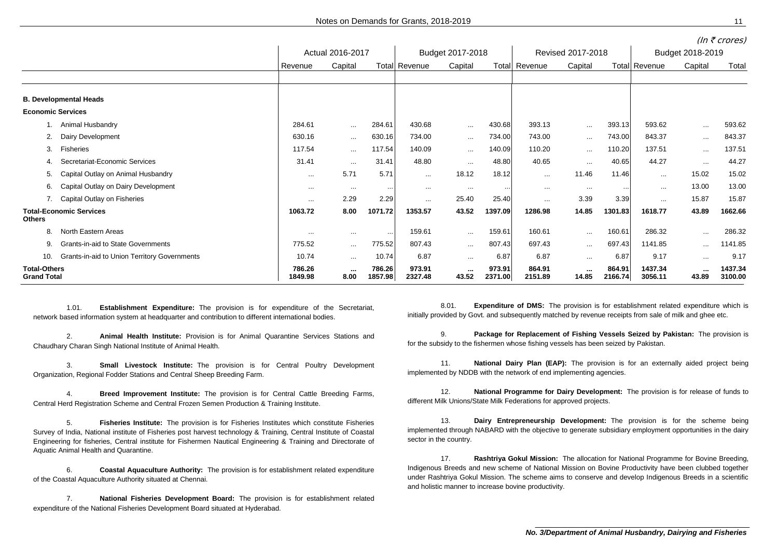|                                           |                                              |                   |                  |                   |                      |                   |                   |                   |                   |                   |                    |                 | 111112101007       |
|-------------------------------------------|----------------------------------------------|-------------------|------------------|-------------------|----------------------|-------------------|-------------------|-------------------|-------------------|-------------------|--------------------|-----------------|--------------------|
|                                           |                                              | Actual 2016-2017  |                  |                   | Budget 2017-2018     |                   |                   | Revised 2017-2018 |                   |                   | Budget 2018-2019   |                 |                    |
|                                           |                                              | Revenue           | Capital          |                   | <b>Total Revenue</b> | Capital           | Total             | Revenue           | Capital           |                   | Total Revenue      | Capital         | Total              |
|                                           |                                              |                   |                  |                   |                      |                   |                   |                   |                   |                   |                    |                 |                    |
|                                           | <b>B. Developmental Heads</b>                |                   |                  |                   |                      |                   |                   |                   |                   |                   |                    |                 |                    |
| <b>Economic Services</b>                  |                                              |                   |                  |                   |                      |                   |                   |                   |                   |                   |                    |                 |                    |
|                                           | Animal Husbandry                             | 284.61            | $\cdots$         | 284.61            | 430.68               | $\cdots$          | 430.68            | 393.13            | $\cdots$          | 393.13            | 593.62             | $\cdots$        | 593.62             |
| 2.                                        | Dairy Development                            | 630.16            | $\cdots$         | 630.16            | 734.00               | $\cdots$          | 734.00            | 743.00            | $\cdots$          | 743.00            | 843.37             | $\cdots$        | 843.37             |
| 3.                                        | Fisheries                                    | 117.54            | $\cdots$         | 117.54            | 140.09               | $\cdots$          | 140.09            | 110.20            | $\cdots$          | 110.20            | 137.51             | $\cdots$        | 137.51             |
| 4.                                        | Secretariat-Economic Services                | 31.41             | $\cdots$         | 31.41             | 48.80                | $\cdots$          | 48.80             | 40.65             | $\cdots$          | 40.65             | 44.27              | $\cdots$        | 44.27              |
| 5.                                        | Capital Outlay on Animal Husbandry           | $\cdots$          | 5.71             | 5.71              | $\cdots$             | 18.12             | 18.12             | $\cdots$          | 11.46             | 11.46             | $\cdots$           | 15.02           | 15.02              |
| 6.                                        | Capital Outlay on Dairy Development          | $\cdots$          | $\cdots$         | $\cdots$          | $\cdots$             | $\cdots$          | $\cdots$          | $\cdots$          | $\cdots$          | $\cdots$          | $\cdots$           | 13.00           | 13.00              |
|                                           | 7. Capital Outlay on Fisheries               | $\cdots$          | 2.29             | 2.29              | $\cdots$             | 25.40             | 25.40             | $\cdots$          | 3.39              | 3.39              | $\cdots$           | 15.87           | 15.87              |
| <b>Others</b>                             | <b>Total-Economic Services</b>               | 1063.72           | 8.00             | 1071.72           | 1353.57              | 43.52             | 1397.09           | 1286.98           | 14.85             | 1301.83           | 1618.77            | 43.89           | 1662.66            |
| 8.                                        | North Eastern Areas                          | $\cdots$          | $\cdots$         | $\sim$            | 159.61               | $\cdots$          | 159.61            | 160.61            | $\cdots$          | 160.61            | 286.32             | $\cdots$        | 286.32             |
| 9.                                        | Grants-in-aid to State Governments           | 775.52            | $\cdots$         | 775.52            | 807.43               | $\cdots$          | 807.43            | 697.43            | $\cdots$          | 697.43            | 1141.85            | $\cdots$        | 1141.85            |
| 10.                                       | Grants-in-aid to Union Territory Governments | 10.74             | $\cdots$         | 10.74             | 6.87                 | $\cdots$          | 6.87              | 6.87              | $\cdots$          | 6.87              | 9.17               | $\cdots$        | 9.17               |
| <b>Total-Others</b><br><b>Grand Total</b> |                                              | 786.26<br>1849.98 | $\cdots$<br>8.00 | 786.26<br>1857.98 | 973.91<br>2327.48    | $\cdots$<br>43.52 | 973.91<br>2371.00 | 864.91<br>2151.89 | $\cdots$<br>14.85 | 864.91<br>2166.74 | 1437.34<br>3056.11 | $\sim$<br>43.89 | 1437.34<br>3100.00 |

1.01. **Establishment Expenditure:** The provision is for expenditure of the Secretariat, network based information system at headquarter and contribution to different international bodies.

2. **Animal Health Institute:** Provision is for Animal Quarantine Services Stations and Chaudhary Charan Singh National Institute of Animal Health.

3. **Small Livestock Institute:** The provision is for Central Poultry Development Organization, Regional Fodder Stations and Central Sheep Breeding Farm.

4. **Breed Improvement Institute:** The provision is for Central Cattle Breeding Farms, Central Herd Registration Scheme and Central Frozen Semen Production & Training Institute.

5. **Fisheries Institute:**..The provision is for Fisheries Institutes which constitute Fisheries Survey of India, National institute of Fisheries post harvest technology & Training, Central Institute of Coastal Engineering for fisheries, Central institute for Fishermen Nautical Engineering & Training and Directorate of Aquatic Animal Health and Quarantine.

6. **Coastal Aquaculture Authority:**..The provision is for establishment related expenditure of the Coastal Aquaculture Authority situated at Chennai.

7. **National Fisheries Development Board:** The provision is for establishment related expenditure of the National Fisheries Development Board situated at Hyderabad.

8.01. **Expenditure of DMS:** The provision is for establishment related expenditure which is initially provided by Govt. and subsequently matched by revenue receipts from sale of milk and ghee etc.

9. **Package for Replacement of Fishing Vessels Seized by Pakistan:**..The provision is for the subsidy to the fishermen whose fishing vessels has been seized by Pakistan.

11. **National Dairy Plan (EAP):** The provision is for an externally aided project being implemented by NDDB with the network of end implementing agencies.

12. **National Programme for Dairy Development:**..The provision is for release of funds to different Milk Unions/State Milk Federations for approved projects.

13. **Dairy Entrepreneurship Development:** The provision is for the scheme being implemented through NABARD with the objective to generate subsidiary employment opportunities in the dairy sector in the country.

17. **Rashtriya Gokul Mission:** The allocation for National Programme for Bovine Breeding, Indigenous Breeds and new scheme of National Mission on Bovine Productivity have been clubbed together under Rashtriya Gokul Mission. The scheme aims to conserve and develop Indigenous Breeds in a scientific and holistic manner to increase bovine productivity.

 $(ln \, \bar{z} \, \text{cnrac})$